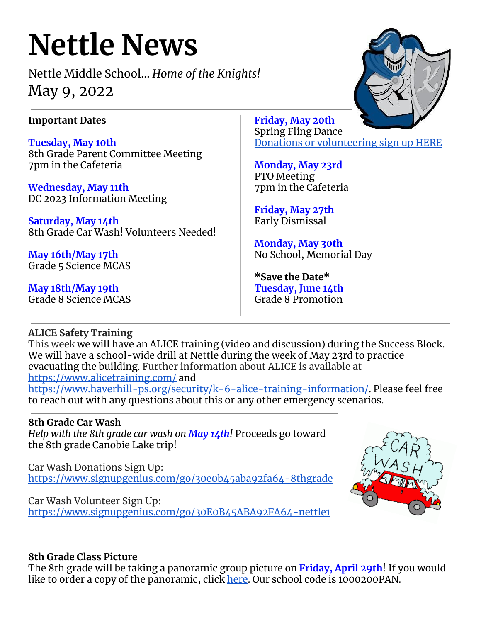# **Nettle News**

Nettle Middle School… *Home of the Knights!* May 9, 2022

## **Important Dates**

**Tuesday, May 10th** 8th Grade Parent Committee Meeting 7pm in the Cafeteria

**Wednesday, May 11th** DC 2023 Information Meeting

**Saturday, May 14th** 8th Grade Car Wash! Volunteers Needed!

**May 16th/May 17th** Grade 5 Science MCAS

**May 18th/May 19th** Grade 8 Science MCAS **Friday, May 20th** Spring Fling Dance Donations or [volunteering](https://www.signupgenius.com/go/30e094aa8a829a7fd0-spring) sign up HERE

**Monday, May 23rd** PTO Meeting 7pm in the Cafeteria

**Friday, May 27th** Early Dismissal

**Monday, May 30th** No School, Memorial Day

**\*Save the Date\* Tuesday, June 14th** Grade 8 Promotion

## **ALICE Safety Training**

This week we will have an ALICE training (video and discussion) during the Success Block. We will have a school-wide drill at Nettle during the week of May 23rd to practice evacuating the building. Further information about ALICE is available at <https://www.alicetraining.com/> and <https://www.haverhill-ps.org/security/k-6-alice-training-information/>. Please feel free to reach out with any questions about this or any other emergency scenarios.

### **8th Grade Car Wash**

*Help with the 8th grade car wash on May 14th!* Proceeds go toward the 8th grade Canobie Lake trip!

Car Wash Donations Sign Up: <https://www.signupgenius.com/go/30e0b45aba92fa64-8thgrade>

Car Wash Volunteer Sign Up: <https://www.signupgenius.com/go/30E0B45ABA92FA64-nettle1>



### **8th Grade Class Picture**

The 8th grade will be taking a panoramic group picture on **Friday, April 29th**! If you would like to order a copy of the panoramic, click [here.](https://www.barksdalestorefront.com/shop/login/?ac=1000200PAN) Our school code is 1000200PAN.